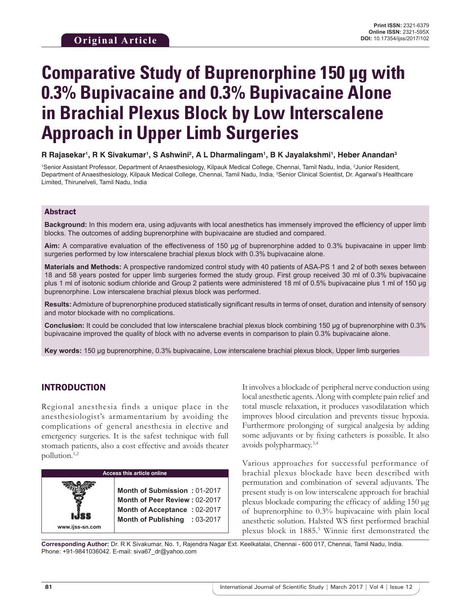# **Comparative Study of Buprenorphine 150 µg with 0.3% Bupivacaine and 0.3% Bupivacaine Alone in Brachial Plexus Block by Low Interscalene Approach in Upper Limb Surgeries**

 $\bm{\mathsf{R}}$  Rajasekar<sup>ı</sup>, R K Sivakumar<sup>ı</sup>, S Ashwini<sup>2</sup>, A L Dharmalingam<sup>ı</sup>, B K Jayalakshmi<sup>ı</sup>, Heber Anandan<sup>3</sup>

1 Senior Assistant Professor, Department of Anaesthesiology, Kilpauk Medical College, Chennai, Tamil Nadu, India, 2 Junior Resident, Department of Anaesthesiology, Kilpauk Medical College, Chennai, Tamil Nadu, India, <sup>3</sup>Senior Clinical Scientist, Dr. Agarwal's Healthcare Limited, Thirunelveli, Tamil Nadu, India

#### Abstract

**Background:** In this modern era, using adjuvants with local anesthetics has immensely improved the efficiency of upper limb blocks. The outcomes of adding buprenorphine with bupivacaine are studied and compared.

**Aim:** A comparative evaluation of the effectiveness of 150 µg of buprenorphine added to 0.3% bupivacaine in upper limb surgeries performed by low interscalene brachial plexus block with 0.3% bupivacaine alone.

**Materials and Methods:** A prospective randomized control study with 40 patients of ASA-PS 1 and 2 of both sexes between 18 and 58 years posted for upper limb surgeries formed the study group. First group received 30 ml of 0.3% bupivacaine plus 1 ml of isotonic sodium chloride and Group 2 patients were administered 18 ml of 0.5% bupivacaine plus 1 ml of 150 µg buprenorphine. Low interscalene brachial plexus block was performed.

**Results:** Admixture of buprenorphine produced statistically significant results in terms of onset, duration and intensity of sensory and motor blockade with no complications.

**Conclusion:** It could be concluded that low interscalene brachial plexus block combining 150 µg of buprenorphine with 0.3% bupivacaine improved the quality of block with no adverse events in comparison to plain 0.3% bupivacaine alone.

**Key words:** 150 µg buprenorphine, 0.3% bupivacaine, Low interscalene brachial plexus block, Upper limb surgeries

# INTRODUCTION

Regional anesthesia finds a unique place in the anesthesiologist's armamentarium by avoiding the complications of general anesthesia in elective and emergency surgeries. It is the safest technique with full stomach patients, also a cost effective and avoids theater pollution.1,2



It involves a blockade of peripheral nerve conduction using local anesthetic agents. Along with complete pain relief and total muscle relaxation, it produces vasodilatation which improves blood circulation and prevents tissue hypoxia. Furthermore prolonging of surgical analgesia by adding some adjuvants or by fixing catheters is possible. It also avoids polypharmacy.3,4

Various approaches for successful performance of brachial plexus blockade have been described with permutation and combination of several adjuvants. The present study is on low interscalene approach for brachial plexus blockade comparing the efficacy of adding 150 µg of buprenorphine to 0.3% bupivacaine with plain local anesthetic solution. Halsted WS first performed brachial plexus block in 1885.5 Winnie first demonstrated the

**Corresponding Author:** Dr. R K Sivakumar, No. 1, Rajendra Nagar Ext. Keelkatalai, Chennai - 600 017, Chennai, Tamil Nadu, India. Phone: +91-9841036042. E-mail: siva67\_dr@yahoo.com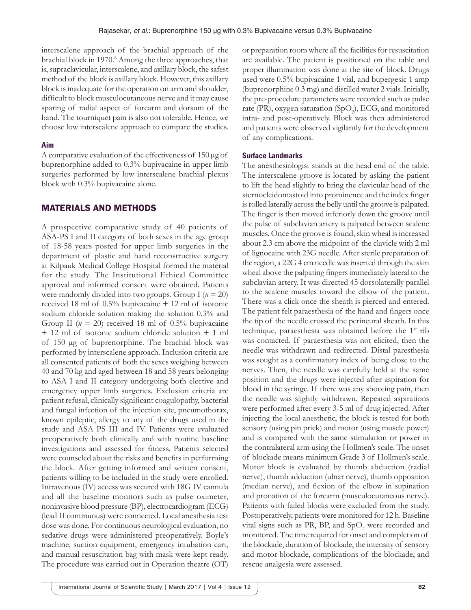interscalene approach of the brachial approach of the brachial block in 1970.<sup>6</sup> Among the three approaches, that is, supraclavicular, interscalene, and axillary block, the safest method of the block is axillary block. However, this axillary block is inadequate for the operation on arm and shoulder, difficult to block musculocutaneous nerve and it may cause sparing of radial aspect of forearm and dorsum of the hand. The tourniquet pain is also not tolerable. Hence, we choose low interscalene approach to compare the studies.

#### **Aim**

A comparative evaluation of the effectiveness of 150 µg of buprenorphine added to 0.3% bupivacaine in upper limb surgeries performed by low interscalene brachial plexus block with 0.3% bupivacaine alone.

### MATERIALS AND METHODS

A prospective comparative study of 40 patients of ASA-PS I and II category of both sexes in the age group of 18-58 years posted for upper limb surgeries in the department of plastic and hand reconstructive surgery at Kilpauk Medical College Hospital formed the material for the study. The Institutional Ethical Committee approval and informed consent were obtained. Patients were randomly divided into two groups. Group I (*n* = 20) received 18 ml of 0.5% bupivacaine + 12 ml of isotonic sodium chloride solution making the solution 0.3% and Group II ( $n = 20$ ) received 18 ml of 0.5% bupivacaine + 12 ml of isotonic sodium chloride solution + 1 ml of 150 µg of buprenorphine. The brachial block was performed by interscalene approach. Inclusion criteria are all consented patients of both the sexes weighing between 40 and 70 kg and aged between 18 and 58 years belonging to ASA I and II category undergoing both elective and emergency upper limb surgeries. Exclusion criteria are patient refusal, clinically significant coagulopathy, bacterial and fungal infection of the injection site, pneumothorax, known epileptic, allergy to any of the drugs used in the study and ASA PS III and IV. Patients were evaluated preoperatively both clinically and with routine baseline investigations and assessed for fitness. Patients selected were counseled about the risks and benefits in performing the block. After getting informed and written consent, patients willing to be included in the study were enrolled. Intravenous (IV) access was secured with 18G IV cannula and all the baseline monitors such as pulse oximeter, noninvasive blood pressure (BP), electrocardiogram (ECG) (lead II continuous) were connected. Local anesthesia test dose was done. For continuous neurological evaluation, no sedative drugs were administered preoperatively. Boyle's machine, suction equipment, emergency intubation cart, and manual resuscitation bag with mask were kept ready. The procedure was carried out in Operation theatre (OT) or preparation room where all the facilities for resuscitation are available. The patient is positioned on the table and proper illumination was done at the site of block. Drugs used were 0.5% bupivacaine 1 vial, and bupergesic 1 amp (buprenorphine 0.3 mg) and distilled water 2 vials. Initially, the pre-procedure parameters were recorded such as pulse rate (PR), oxygen saturation (SpO<sub>2</sub>), ECG, and monitored intra- and post-operatively. Block was then administered and patients were observed vigilantly for the development of any complications.

#### **Surface Landmarks**

The anesthesiologist stands at the head end of the table. The interscalene groove is located by asking the patient to lift the head slightly to bring the clavicular head of the sternocleidomastoid into prominence and the index finger is rolled laterally across the belly until the groove is palpated. The finger is then moved inferiorly down the groove until the pulse of subclavian artery is palpated between scalene muscles. Once the groove is found, skin wheal is increased about 2.3 cm above the midpoint of the clavicle with 2 ml of lignocaine with 23G needle. After sterile preparation of the region, a 22G 4 cm needle was inserted through the skin wheal above the palpating fingers immediately lateral to the subclavian artery. It was directed 45 dorsolaterally parallel to the scalene muscles toward the elbow of the patient. There was a click once the sheath is pierced and entered. The patient felt paraesthesia of the hand and fingers once the tip of the needle crossed the perineural sheath. In this technique, paraesthesia was obtained before the 1<sup>st</sup> rib was contacted. If paraesthesia was not elicited, then the needle was withdrawn and redirected. Distal paresthesia was sought as a confirmatory index of being close to the nerves. Then, the needle was carefully held at the same position and the drugs were injected after aspiration for blood in the syringe. If there was any shooting pain, then the needle was slightly withdrawn. Repeated aspirations were performed after every 3-5 ml of drug injected. After injecting the local anesthetic, the block is tested for both sensory (using pin prick) and motor (using muscle power) and is compared with the same stimulation or power in the contralateral arm using the Hollmen's scale. The onset of blockade means minimum Grade 3 of Hollmen's scale. Motor block is evaluated by thumb abduction (radial nerve), thumb adduction (ulnar nerve), thumb opposition (median nerve), and flexion of the elbow in supination and pronation of the forearm (musculocutaneous nerve). Patients with failed blocks were excluded from the study. Postoperatively, patients were monitored for 12 h. Baseline vital signs such as PR, BP, and  $SpO_2$  were recorded and monitored. The time required for onset and completion of the blockade, duration of blockade, the intensity of sensory and motor blockade, complications of the blockade, and rescue analgesia were assessed.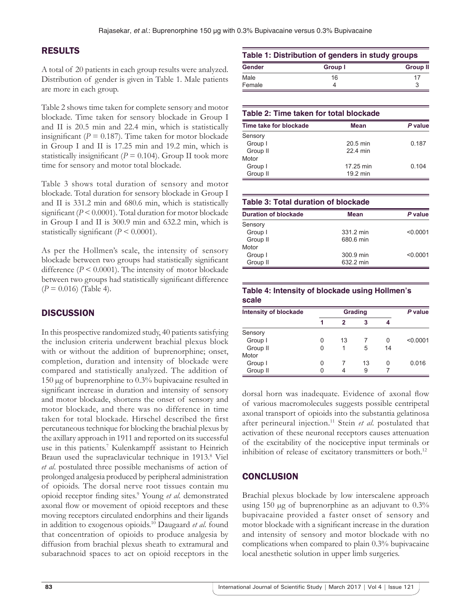## RESULTS

A total of 20 patients in each group results were analyzed. Distribution of gender is given in Table 1. Male patients are more in each group.

Table 2 shows time taken for complete sensory and motor blockade. Time taken for sensory blockade in Group I and II is 20.5 min and 22.4 min, which is statistically insignificant ( $P = 0.187$ ). Time taken for motor blockade in Group I and II is 17.25 min and 19.2 min, which is statistically insignificant ( $P = 0.104$ ). Group II took more time for sensory and motor total blockade.

Table 3 shows total duration of sensory and motor blockade. Total duration for sensory blockade in Group I and II is 331.2 min and 680.6 min, which is statistically significant (*P* < 0.0001). Total duration for motor blockade in Group I and II is 300.9 min and 632.2 min, which is statistically significant  $(P < 0.0001)$ .

As per the Hollmen's scale, the intensity of sensory blockade between two groups had statistically significant difference  $(P \le 0.0001)$ . The intensity of motor blockade between two groups had statistically significant difference  $(P = 0.016)$  (Table 4).

# **DISCUSSION**

In this prospective randomized study, 40 patients satisfying the inclusion criteria underwent brachial plexus block with or without the addition of buprenorphine; onset, completion, duration and intensity of blockade were compared and statistically analyzed. The addition of 150 µg of buprenorphine to 0.3% bupivacaine resulted in significant increase in duration and intensity of sensory and motor blockade, shortens the onset of sensory and motor blockade, and there was no difference in time taken for total blockade. Hirschel described the first percutaneous technique for blocking the brachial plexus by the axillary approach in 1911 and reported on its successful use in this patients.<sup>7</sup> Kulenkampff assistant to Heinrich Braun used the supraclavicular technique in 1913.<sup>8</sup> Viel *et al*. postulated three possible mechanisms of action of prolonged analgesia produced by peripheral administration of opioids. The dorsal nerve root tissues contain mu opioid receptor finding sites.<sup>9</sup> Young et al. demonstrated axonal flow or movement of opioid receptors and these moving receptors circulated endorphins and their ligands in addition to exogenous opioids.<sup>10</sup> Daugaard *et al*. found that concentration of opioids to produce analgesia by diffusion from brachial plexus sheath to extramural and subarachnoid spaces to act on opioid receptors in the

| Table 1: Distribution of genders in study groups |         |                 |  |  |
|--------------------------------------------------|---------|-----------------|--|--|
| <b>Gender</b>                                    | Group I | <b>Group II</b> |  |  |
| Male                                             | 16      | 17              |  |  |
| Female                                           |         | 3               |  |  |

| Table 2: Time taken for total blockade |            |         |  |  |  |  |
|----------------------------------------|------------|---------|--|--|--|--|
| Time take for blockade                 | Mean       | P value |  |  |  |  |
| Sensory                                |            |         |  |  |  |  |
| Group I                                | $20.5$ min | 0.187   |  |  |  |  |
| Group II                               | 22 4 min   |         |  |  |  |  |
| Motor                                  |            |         |  |  |  |  |
| Group I                                | 17.25 min  | 0.104   |  |  |  |  |
| Group II                               | 19.2 min   |         |  |  |  |  |

| Table 3: Total duration of blockade |           |          |  |  |  |  |
|-------------------------------------|-----------|----------|--|--|--|--|
| <b>Duration of blockade</b>         | Mean      | P value  |  |  |  |  |
| Sensory                             |           |          |  |  |  |  |
| Group I                             | 331.2 min | < 0.0001 |  |  |  |  |
| Group II                            | 680.6 min |          |  |  |  |  |
| Motor                               |           |          |  |  |  |  |
| Group I                             | 300.9 min | < 0.0001 |  |  |  |  |
| Group II                            | 632.2 min |          |  |  |  |  |

#### **Table 4: Intensity of blockade using Hollmen's scale**

| <b>Intensity of blockade</b> | <b>Grading</b> |    |    |    | P value  |
|------------------------------|----------------|----|----|----|----------|
|                              |                | 2  | 3  |    |          |
| Sensory                      |                |    |    |    |          |
| Group I                      | Ω              | 13 |    | 0  | < 0.0001 |
| Group II                     |                |    | 5  | 14 |          |
| Motor                        |                |    |    |    |          |
| Group I                      |                |    | 13 | 0  | 0.016    |
| Group II                     |                |    | 9  |    |          |

dorsal horn was inadequate. Evidence of axonal flow of various macromolecules suggests possible centripetal axonal transport of opioids into the substantia gelatinosa after perineural injection.<sup>11</sup> Stein et al. postulated that activation of these neuronal receptors causes attenuation of the excitability of the nociceptive input terminals or inhibition of release of excitatory transmitters or both.<sup>12</sup>

## **CONCLUSION**

Brachial plexus blockade by low interscalene approach using 150 µg of buprenorphine as an adjuvant to 0.3% bupivacaine provided a faster onset of sensory and motor blockade with a significant increase in the duration and intensity of sensory and motor blockade with no complications when compared to plain 0.3% bupivacaine local anesthetic solution in upper limb surgeries.